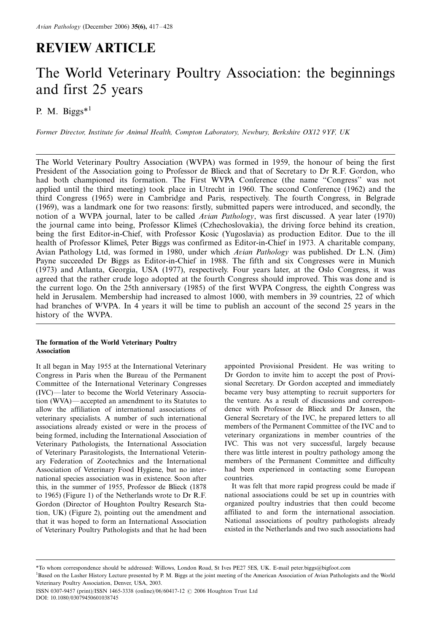## REVIEW ARTICLE

# The World Veterinary Poultry Association: the beginnings and first 25 years

### P. M. Biggs $*$ <sup>1</sup>

Former Director, Institute for Animal Health, Compton Laboratory, Newbury, Berkshire OX12 9YF, UK

The World Veterinary Poultry Association (WVPA) was formed in 1959, the honour of being the first President of the Association going to Professor de Blieck and that of Secretary to Dr R.F. Gordon, who had both championed its formation. The First WVPA Conference (the name ''Congress'' was not applied until the third meeting) took place in Utrecht in 1960. The second Conference (1962) and the third Congress (1965) were in Cambridge and Paris, respectively. The fourth Congress, in Belgrade (1969), was a landmark one for two reasons: firstly, submitted papers were introduced, and secondly, the notion of a WVPA journal, later to be called Avian Pathology, was first discussed. A year later (1970) the journal came into being, Professor Klimesˇ (Czhechoslovakia), the driving force behind its creation, being the first Editor-in-Chief, with Professor Kosic (Yugoslavia) as production Editor. Due to the ill health of Professor Klimeš, Peter Biggs was confirmed as Editor-in-Chief in 1973. A charitable company, Avian Pathology Ltd, was formed in 1980, under which Avian Pathology was published. Dr L.N. (Jim) Payne succeeded Dr Biggs as Editor-in-Chief in 1988. The fifth and six Congresses were in Munich (1973) and Atlanta, Georgia, USA (1977), respectively. Four years later, at the Oslo Congress, it was agreed that the rather crude logo adopted at the fourth Congress should improved. This was done and is the current logo. On the 25th anniversary (1985) of the first WVPA Congress, the eighth Congress was held in Jerusalem. Membership had increased to almost 1000, with members in 39 countries, 22 of which had branches of WVPA. In 4 years it will be time to publish an account of the second 25 years in the history of the WVPA.

#### The formation of the World Veterinary Poultry Association

It all began in May 1955 at the International Veterinary Congress in Paris when the Bureau of the Permanent Committee of the International Veterinary Congresses  $(IVC)$ —later to become the World Veterinary Association (WVA)—accepted an amendment to its Statutes to allow the affiliation of international associations of veterinary specialists. A number of such international associations already existed or were in the process of being formed, including the International Association of Veterinary Pathologists, the International Association of Veterinary Parasitologists, the International Veterinary Federation of Zootechnics and the International Association of Veterinary Food Hygiene, but no international species association was in existence. Soon after this, in the summer of 1955, Professor de Blieck (1878 to 1965) (Figure 1) of the Netherlands wrote to Dr R.F. Gordon (Director of Houghton Poultry Research Station, UK) (Figure 2), pointing out the amendment and that it was hoped to form an International Association of Veterinary Poultry Pathologists and that he had been

appointed Provisional President. He was writing to Dr Gordon to invite him to accept the post of Provisional Secretary. Dr Gordon accepted and immediately became very busy attempting to recruit supporters for the venture. As a result of discussions and correspondence with Professor de Blieck and Dr Jansen, the General Secretary of the IVC, he prepared letters to all members of the Permanent Committee of the IVC and to veterinary organizations in member countries of the IVC. This was not very successful, largely because there was little interest in poultry pathology among the members of the Permanent Committee and difficulty had been experienced in contacting some European countries.

It was felt that more rapid progress could be made if national associations could be set up in countries with organized poultry industries that then could become affiliated to and form the international association. National associations of poultry pathologists already existed in the Netherlands and two such associations had

<sup>\*</sup>To whom correspondence should be addressed: Willows, London Road, St Ives PE27 5ES, UK. E-mail peter.biggs@bigfoot.com

<sup>&</sup>lt;sup>1</sup>Based on the Lasher History Lecture presented by P. M. Biggs at the joint meeting of the American Association of Avian Pathologists and the World Veterinary Poultry Association, Denver, USA, 2003.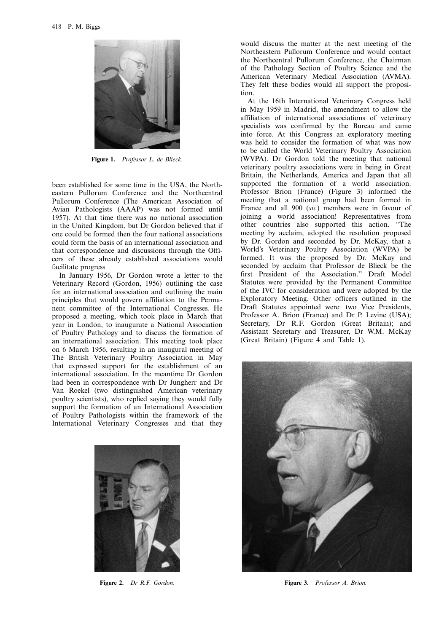

Figure 1. Professor L. de Blieck.

been established for some time in the USA, the Northeastern Pullorum Conference and the Northcentral Pullorum Conference (The American Association of Avian Pathologists (AAAP) was not formed until 1957). At that time there was no national association in the United Kingdom, but Dr Gordon believed that if one could be formed then the four national associations could form the basis of an international association and that correspondence and discussions through the Officers of these already established associations would facilitate progress

In January 1956, Dr Gordon wrote a letter to the Veterinary Record (Gordon, 1956) outlining the case for an international association and outlining the main principles that would govern affiliation to the Permanent committee of the International Congresses. He proposed a meeting, which took place in March that year in London, to inaugurate a National Association of Poultry Pathology and to discuss the formation of an international association. This meeting took place on 6 March 1956, resulting in an inaugural meeting of The British Veterinary Poultry Association in May that expressed support for the establishment of an international association. In the meantime Dr Gordon had been in correspondence with Dr Jungherr and Dr Van Roekel (two distinguished American veterinary poultry scientists), who replied saying they would fully support the formation of an International Association of Poultry Pathologists within the framework of the International Veterinary Congresses and that they



Figure 2. Dr R.F. Gordon. **Figure 3.** Professor A. Brion.

would discuss the matter at the next meeting of the Northeastern Pullorum Conference and would contact the Northcentral Pullorum Conference, the Chairman of the Pathology Section of Poultry Science and the American Veterinary Medical Association (AVMA). They felt these bodies would all support the proposition.

At the 16th International Veterinary Congress held in May 1959 in Madrid, the amendment to allow the affiliation of international associations of veterinary specialists was confirmed by the Bureau and came into force. At this Congress an exploratory meeting was held to consider the formation of what was now to be called the World Veterinary Poultry Association (WVPA). Dr Gordon told the meeting that national veterinary poultry associations were in being in Great Britain, the Netherlands, America and Japan that all supported the formation of a world association. Professor Brion (France) (Figure 3) informed the meeting that a national group had been formed in France and all 900 (sic) members were in favour of joining a world association! Representatives from other countries also supported this action. ''The meeting by acclaim, adopted the resolution proposed by Dr. Gordon and seconded by Dr. McKay, that a World's Veterinary Poultry Association (WVPA) be formed. It was the proposed by Dr. McKay and seconded by acclaim that Professor de Blieck be the first President of the Association.'' Draft Model Statutes were provided by the Permanent Committee of the IVC for consideration and were adopted by the Exploratory Meeting. Other officers outlined in the Draft Statutes appointed were: two Vice Presidents, Professor A. Brion (France) and Dr P. Levine (USA); Secretary, Dr R.F. Gordon (Great Britain); and Assistant Secretary and Treasurer, Dr W.M. McKay (Great Britain) (Figure 4 and Table 1).

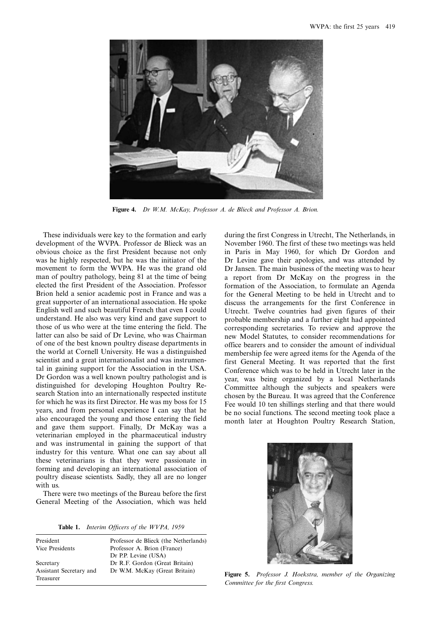

Figure 4. Dr W.M. McKay, Professor A. de Blieck and Professor A. Brion.

These individuals were key to the formation and early development of the WVPA. Professor de Blieck was an obvious choice as the first President because not only was he highly respected, but he was the initiator of the movement to form the WVPA. He was the grand old man of poultry pathology, being 81 at the time of being elected the first President of the Association. Professor Brion held a senior academic post in France and was a great supporter of an international association. He spoke English well and such beautiful French that even I could understand. He also was very kind and gave support to those of us who were at the time entering the field. The latter can also be said of Dr Levine, who was Chairman of one of the best known poultry disease departments in the world at Cornell University. He was a distinguished scientist and a great internationalist and was instrumental in gaining support for the Association in the USA. Dr Gordon was a well known poultry pathologist and is distinguished for developing Houghton Poultry Research Station into an internationally respected institute for which he was its first Director. He was my boss for 15 years, and from personal experience I can say that he also encouraged the young and those entering the field and gave them support. Finally, Dr McKay was a veterinarian employed in the pharmaceutical industry and was instrumental in gaining the support of that industry for this venture. What one can say about all these veterinarians is that they were passionate in forming and developing an international association of poultry disease scientists. Sadly, they all are no longer with us.

There were two meetings of the Bureau before the first General Meeting of the Association, which was held

Table 1. Interim Officers of the WVPA, 1959

| President               | Professor de Blieck (the Netherlands) |
|-------------------------|---------------------------------------|
| Vice Presidents         | Professor A. Brion (France)           |
|                         | Dr P.P. Levine (USA)                  |
| Secretary               | Dr R.F. Gordon (Great Britain)        |
| Assistant Secretary and | Dr W.M. McKay (Great Britain)         |
| Treasurer               |                                       |

during the first Congress in Utrecht, The Netherlands, in November 1960. The first of these two meetings was held in Paris in May 1960, for which Dr Gordon and Dr Levine gave their apologies, and was attended by Dr Jansen. The main business of the meeting was to hear a report from Dr McKay on the progress in the formation of the Association, to formulate an Agenda for the General Meeting to be held in Utrecht and to discuss the arrangements for the first Conference in Utrecht. Twelve countries had given figures of their probable membership and a further eight had appointed corresponding secretaries. To review and approve the new Model Statutes, to consider recommendations for office bearers and to consider the amount of individual membership fee were agreed items for the Agenda of the first General Meeting. It was reported that the first Conference which was to be held in Utrecht later in the year, was being organized by a local Netherlands Committee although the subjects and speakers were chosen by the Bureau. It was agreed that the Conference Fee would 10 ten shillings sterling and that there would be no social functions. The second meeting took place a month later at Houghton Poultry Research Station,



Figure 5. Professor J. Hoekstra, member of the Organizing Committee for the first Congress.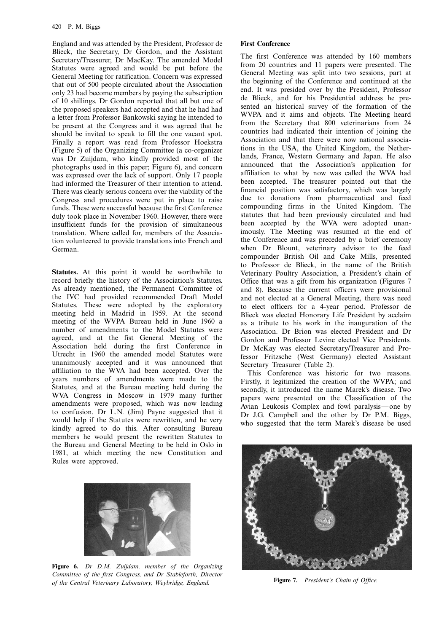England and was attended by the President, Professor de Blieck, the Secretary, Dr Gordon, and the Assistant Secretary/Treasurer, Dr MacKay. The amended Model Statutes were agreed and would be put before the General Meeting for ratification. Concern was expressed that out of 500 people circulated about the Association only 23 had become members by paying the subscription of 10 shillings. Dr Gordon reported that all but one of the proposed speakers had accepted and that he had had a letter from Professor Bankowski saying he intended to be present at the Congress and it was agreed that he should be invited to speak to fill the one vacant spot. Finally a report was read from Professor Hoekstra (Figure 5) of the Organizing Committee (a co-organizer was Dr Zuijdam, who kindly provided most of the photographs used in this paper; Figure 6), and concern was expressed over the lack of support. Only 17 people had informed the Treasurer of their intention to attend. There was clearly serious concern over the viability of the Congress and procedures were put in place to raise funds. These were successful because the first Conference duly took place in November 1960. However, there were insufficient funds for the provision of simultaneous translation. Where called for, members of the Association volunteered to provide translations into French and German.

Statutes. At this point it would be worthwhile to record briefly the history of the Association's Statutes. As already mentioned, the Permanent Committee of the IVC had provided recommended Draft Model Statutes. These were adopted by the exploratory meeting held in Madrid in 1959. At the second meeting of the WVPA Bureau held in June 1960 a number of amendments to the Model Statutes were agreed, and at the fist General Meeting of the Association held during the first Conference in Utrecht in 1960 the amended model Statutes were unanimously accepted and it was announced that affiliation to the WVA had been accepted. Over the years numbers of amendments were made to the Statutes, and at the Bureau meeting held during the WVA Congress in Moscow in 1979 many further amendments were proposed, which was now leading to confusion. Dr L.N. (Jim) Payne suggested that it would help if the Statutes were rewritten, and he very kindly agreed to do this. After consulting Bureau members he would present the rewritten Statutes to the Bureau and General Meeting to be held in Oslo in 1981, at which meeting the new Constitution and Rules were approved.

#### First Conference

The first Conference was attended by 160 members from 20 countries and 11 papers were presented. The General Meeting was split into two sessions, part at the beginning of the Conference and continued at the end. It was presided over by the President, Professor de Blieck, and for his Presidential address he presented an historical survey of the formation of the WVPA and it aims and objects. The Meeting heard from the Secretary that 800 veterinarians from 24 countries had indicated their intention of joining the Association and that there were now national associations in the USA, the United Kingdom, the Netherlands, France, Western Germany and Japan. He also announced that the Association's application for affiliation to what by now was called the WVA had been accepted. The treasurer pointed out that the financial position was satisfactory, which was largely due to donations from pharmaceutical and feed compounding firms in the United Kingdom. The statutes that had been previously circulated and had been accepted by the WVA were adopted unanimously. The Meeting was resumed at the end of the Conference and was preceded by a brief ceremony when Dr Blount, veterinary advisor to the feed compounder British Oil and Cake Mills, presented to Professor de Blieck, in the name of the British Veterinary Poultry Association, a President's chain of Office that was a gift from his organization (Figures 7 and 8). Because the current officers were provisional and not elected at a General Meeting, there was need to elect officers for a 4-year period. Professor de Blieck was elected Honorary Life President by acclaim as a tribute to his work in the inauguration of the Association. Dr Brion was elected President and Dr Gordon and Professor Levine elected Vice Presidents. Dr McKay was elected Secretary/Treasurer and Professor Fritzsche (West Germany) elected Assistant Secretary Treasurer (Table 2).

This Conference was historic for two reasons. Firstly, it legitimized the creation of the WVPA; and secondly, it introduced the name Marek's disease. Two papers were presented on the Classification of the Avian Leukosis Complex and fowl paralysis—one by Dr J.G. Campbell and the other by Dr P.M. Biggs, who suggested that the term Marek's disease be used



Figure 6. Dr D.M. Zuijdam, member of the Organizing Committee of the first Congress, and Dr Stableforth, Director of the Central Veterinary Laboratory, Weybridge, England. Figure 7. President's Chain of Office.

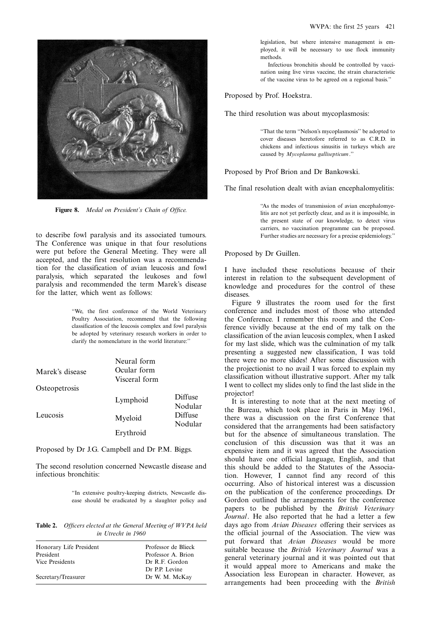

Figure 8. Medal on President's Chain of Office.

to describe fowl paralysis and its associated tumours. The Conference was unique in that four resolutions were put before the General Meeting. They were all accepted, and the first resolution was a recommendation for the classification of avian leucosis and fowl paralysis, which separated the leukoses and fowl paralysis and recommended the term Marek's disease for the latter, which went as follows:

> ''We, the first conference of the World Veterinary Poultry Association, recommend that the following classification of the leucosis complex and fowl paralysis be adopted by veterinary research workers in order to clarify the nomenclature in the world literature:''

| Marek's disease | Neural form<br>Ocular form<br>Visceral form |                    |
|-----------------|---------------------------------------------|--------------------|
| Osteopetrosis   |                                             |                    |
|                 | Lymphoid                                    | Diffuse<br>Nodular |
| Leucosis        | Myeloid                                     | Diffuse<br>Nodular |
|                 | Erythroid                                   |                    |

Proposed by Dr J.G. Campbell and Dr P.M. Biggs.

The second resolution concerned Newcastle disease and infectious bronchitis:

> ''In extensive poultry-keeping districts, Newcastle disease should be eradicated by a slaughter policy and

Table 2. Officers elected at the General Meeting of WVPA held in Utrecht in 1960

| Honorary Life President | Professor de Blieck |
|-------------------------|---------------------|
| President               | Professor A. Brion  |
| Vice Presidents         | Dr R.F. Gordon      |
|                         | Dr PP Levine        |
| Secretary/Treasurer     | Dr W. M. McKay      |

legislation, but where intensive management is employed, it will be necessary to use flock immunity methods.

Infectious bronchitis should be controlled by vaccination using live virus vaccine, the strain characteristic of the vaccine virus to be agreed on a regional basis.''

#### Proposed by Prof. Hoekstra.

The third resolution was about mycoplasmosis:

''That the term ''Nelson's mycoplasmosis'' be adopted to cover diseases heretofore referred to as C.R.D. in chickens and infectious sinusitis in turkeys which are caused by Mycoplasma gallisepticum.''

#### Proposed by Prof Brion and Dr Bankowski.

The final resolution dealt with avian encephalomyelitis:

"As the modes of transmission of avian encephalomyelitis are not yet perfectly clear, and as it is impossible, in the present state of our knowledge, to detect virus carriers, no vaccination programme can be proposed. Further studies are necessary for a precise epidemiology.''

#### Proposed by Dr Guillen.

I have included these resolutions because of their interest in relation to the subsequent development of knowledge and procedures for the control of these diseases.

Figure 9 illustrates the room used for the first conference and includes most of those who attended the Conference. I remember this room and the Conference vividly because at the end of my talk on the classification of the avian leucosis complex, when I asked for my last slide, which was the culmination of my talk presenting a suggested new classification, I was told there were no more slides! After some discussion with the projectionist to no avail I was forced to explain my classification without illustrative support. After my talk I went to collect my slides only to find the last slide in the projector!

It is interesting to note that at the next meeting of the Bureau, which took place in Paris in May 1961, there was a discussion on the first Conference that considered that the arrangements had been satisfactory but for the absence of simultaneous translation. The conclusion of this discussion was that it was an expensive item and it was agreed that the Association should have one official language, English, and that this should be added to the Statutes of the Association. However, I cannot find any record of this occurring. Also of historical interest was a discussion on the publication of the conference proceedings. Dr Gordon outlined the arrangements for the conference papers to be published by the British Veterinary Journal. He also reported that he had a letter a few days ago from *Avian Diseases* offering their services as the official journal of the Association. The view was put forward that Avian Diseases would be more suitable because the British Veterinary Journal was a general veterinary journal and it was pointed out that it would appeal more to Americans and make the Association less European in character. However, as arrangements had been proceeding with the British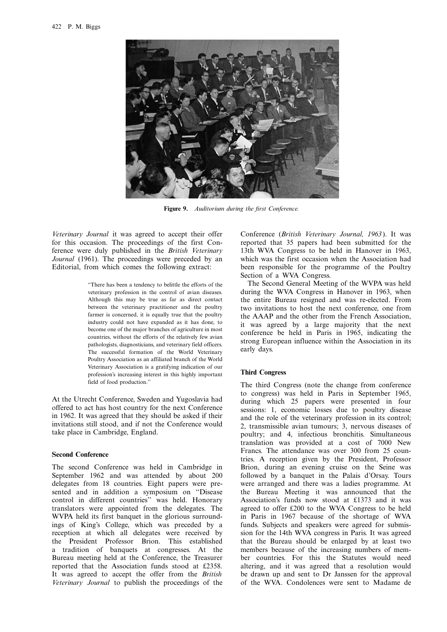

Figure 9. Auditorium during the first Conference.

Veterinary Journal it was agreed to accept their offer for this occasion. The proceedings of the first Conference were duly published in the British Veterinary Journal (1961). The proceedings were preceded by an Editorial, from which comes the following extract:

> ''There has been a tendency to belittle the efforts of the veterinary profession in the control of avian diseases. Although this may be true as far as direct contact between the veterinary practitioner and the poultry farmer is concerned, it is equally true that the poultry industry could not have expanded as it has done, to become one of the major branches of agriculture in most countries, without the efforts of the relatively few avian pathologists, diagnosticians, and veterinary field officers. The successful formation of the World Veterinary Poultry Association as an affiliated branch of the World Veterinary Association is a gratifying indication of our profession's increasing interest in this highly important field of food production.''

At the Utrecht Conference, Sweden and Yugoslavia had offered to act has host country for the next Conference in 1962. It was agreed that they should be asked if their invitations still stood, and if not the Conference would take place in Cambridge, England.

#### Second Conference

The second Conference was held in Cambridge in September 1962 and was attended by about 200 delegates from 18 countries. Eight papers were presented and in addition a symposium on ''Disease control in different countries'' was held. Honorary translators were appointed from the delegates. The WVPA held its first banquet in the glorious surroundings of King's College, which was preceded by a reception at which all delegates were received by the President Professor Brion. This established a tradition of banquets at congresses. At the Bureau meeting held at the Conference, the Treasurer reported that the Association funds stood at £2358. It was agreed to accept the offer from the British Veterinary Journal to publish the proceedings of the

Conference (British Veterinary Journal, 1963). It was reported that 35 papers had been submitted for the 13th WVA Congress to be held in Hanover in 1963, which was the first occasion when the Association had been responsible for the programme of the Poultry Section of a WVA Congress.

The Second General Meeting of the WVPA was held during the WVA Congress in Hanover in 1963, when the entire Bureau resigned and was re-elected. From two invitations to host the next conference, one from the AAAP and the other from the French Association, it was agreed by a large majority that the next conference be held in Paris in 1965, indicating the strong European influence within the Association in its early days.

#### Third Congress

The third Congress (note the change from conference to congress) was held in Paris in September 1965, during which 25 papers were presented in four sessions: 1, economic losses due to poultry disease and the role of the veterinary profession in its control; 2, transmissible avian tumours; 3, nervous diseases of poultry; and 4, infectious bronchitis. Simultaneous translation was provided at a cost of 7000 New Francs. The attendance was over 300 from 25 countries. A reception given by the President, Professor Brion, during an evening cruise on the Seine was followed by a banquet in the Palais d'Orsay. Tours were arranged and there was a ladies programme. At the Bureau Meeting it was announced that the Association's funds now stood at £1373 and it was agreed to offer £200 to the WVA Congress to be held in Paris in 1967 because of the shortage of WVA funds. Subjects and speakers were agreed for submission for the 14th WVA congress in Paris. It was agreed that the Bureau should be enlarged by at least two members because of the increasing numbers of member countries. For this the Statutes would need altering, and it was agreed that a resolution would be drawn up and sent to Dr Janssen for the approval of the WVA. Condolences were sent to Madame de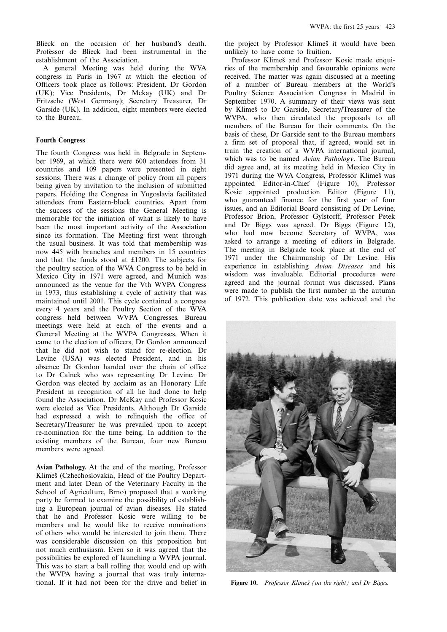Blieck on the occasion of her husband's death. Professor de Blieck had been instrumental in the establishment of the Association.

A general Meeting was held during the WVA congress in Paris in 1967 at which the election of Officers took place as follows: President, Dr Gordon (UK); Vice Presidents, Dr Mckay (UK) and Dr Fritzsche (West Germany); Secretary Treasurer, Dr Garside (UK). In addition, eight members were elected to the Bureau.

#### Fourth Congress

The fourth Congress was held in Belgrade in September 1969, at which there were 600 attendees from 31 countries and 109 papers were presented in eight sessions. There was a change of policy from all papers being given by invitation to the inclusion of submitted papers. Holding the Congress in Yugoslavia facilitated attendees from Eastern-block countries. Apart from the success of the sessions the General Meeting is memorable for the initiation of what is likely to have been the most important activity of the Association since its formation. The Meeting first went through the usual business. It was told that membership was now 445 with branches and members in 15 countries and that the funds stood at £1200. The subjects for the poultry section of the WVA Congress to be held in Mexico City in 1971 were agreed, and Munich was announced as the venue for the Vth WVPA Congress in 1973, thus establishing a cycle of activity that was maintained until 2001. This cycle contained a congress every 4 years and the Poultry Section of the WVA congress held between WVPA Congresses. Bureau meetings were held at each of the events and a General Meeting at the WVPA Congresses. When it came to the election of officers, Dr Gordon announced that he did not wish to stand for re-election. Dr Levine (USA) was elected President, and in his absence Dr Gordon handed over the chain of office to Dr Calnek who was representing Dr Levine. Dr Gordon was elected by acclaim as an Honorary Life President in recognition of all he had done to help found the Association. Dr McKay and Professor Kosic were elected as Vice Presidents. Although Dr Garside had expressed a wish to relinquish the office of Secretary/Treasurer he was prevailed upon to accept re-nomination for the time being. In addition to the existing members of the Bureau, four new Bureau members were agreed.

Avian Pathology. At the end of the meeting, Professor Klimeš (Czhechoslovakia, Head of the Poultry Department and later Dean of the Veterinary Faculty in the School of Agriculture, Brno) proposed that a working party be formed to examine the possibility of establishing a European journal of avian diseases. He stated that he and Professor Kosic were willing to be members and he would like to receive nominations of others who would be interested to join them. There was considerable discussion on this proposition but not much enthusiasm. Even so it was agreed that the possibilities be explored of launching a WVPA journal. This was to start a ball rolling that would end up with the WVPA having a journal that was truly international. If it had not been for the drive and belief in

the project by Professor Klimeš it would have been unlikely to have come to fruition.

Professor Klimeš and Professor Kosic made enquiries of the membership and favourable opinions were received. The matter was again discussed at a meeting of a number of Bureau members at the World's Poultry Science Association Congress in Madrid in September 1970. A summary of their views was sent by Klimeš to Dr Garside, Secretary/Treasurer of the WVPA, who then circulated the proposals to all members of the Bureau for their comments. On the basis of these, Dr Garside sent to the Bureau members a firm set of proposal that, if agreed, would set in train the creation of a WVPA international journal, which was to be named Avian Pathology. The Bureau did agree and, at its meeting held in Mexico City in 1971 during the WVA Congress, Professor Klimeš was appointed Editor-in-Chief (Figure 10), Professor Kosic appointed production Editor (Figure 11), who guaranteed finance for the first year of four issues, and an Editorial Board consisting of Dr Levine, Professor Brion, Professor Gylstorff, Professor Petek and Dr Biggs was agreed. Dr Biggs (Figure 12), who had now become Secretary of WVPA, was asked to arrange a meeting of editors in Belgrade. The meeting in Belgrade took place at the end of 1971 under the Chairmanship of Dr Levine. His experience in establishing Avian Diseases and his wisdom was invaluable. Editorial procedures were agreed and the journal format was discussed. Plans were made to publish the first number in the autumn of 1972. This publication date was achieved and the



Figure 10. Professor Klimeš (on the right) and Dr Biggs.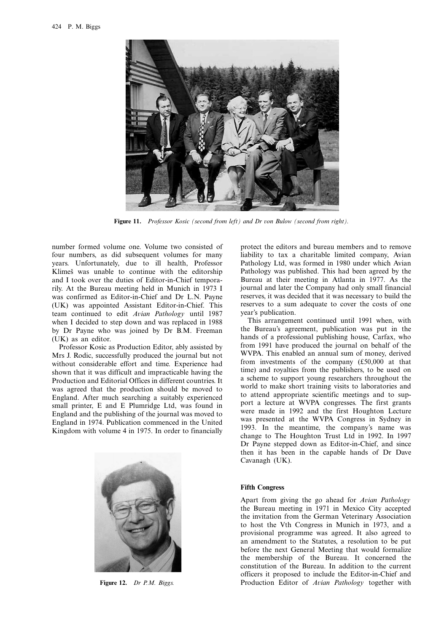

Figure 11. Professor Kosic (second from left) and Dr von Bulow (second from right).

number formed volume one. Volume two consisted of four numbers, as did subsequent volumes for many years. Unfortunately, due to ill health, Professor Klimeš was unable to continue with the editorship and I took over the duties of Editor-in-Chief temporarily. At the Bureau meeting held in Munich in 1973 I was confirmed as Editor-in-Chief and Dr L.N. Payne (UK) was appointed Assistant Editor-in-Chief. This team continued to edit Avian Pathology until 1987 when I decided to step down and was replaced in 1988 by Dr Payne who was joined by Dr B.M. Freeman (UK) as an editor.

Professor Kosic as Production Editor, ably assisted by Mrs J. Rodic, successfully produced the journal but not without considerable effort and time. Experience had shown that it was difficult and impracticable having the Production and Editorial Offices in different countries. It was agreed that the production should be moved to England. After much searching a suitably experienced small printer, E and E Plumridge Ltd, was found in England and the publishing of the journal was moved to England in 1974. Publication commenced in the United Kingdom with volume 4 in 1975. In order to financially



Figure 12. Dr P.M. Biggs.

protect the editors and bureau members and to remove liability to tax a charitable limited company, Avian Pathology Ltd, was formed in 1980 under which Avian Pathology was published. This had been agreed by the Bureau at their meeting in Atlanta in 1977. As the journal and later the Company had only small financial reserves, it was decided that it was necessary to build the reserves to a sum adequate to cover the costs of one year's publication.

This arrangement continued until 1991 when, with the Bureau's agreement, publication was put in the hands of a professional publishing house, Carfax, who from 1991 have produced the journal on behalf of the WVPA. This enabled an annual sum of money, derived from investments of the company (£50,000 at that time) and royalties from the publishers, to be used on a scheme to support young researchers throughout the world to make short training visits to laboratories and to attend appropriate scientific meetings and to support a lecture at WVPA congresses. The first grants were made in 1992 and the first Houghton Lecture was presented at the WVPA Congress in Sydney in 1993. In the meantime, the company's name was change to The Houghton Trust Ltd in 1992. In 1997 Dr Payne stepped down as Editor-in-Chief, and since then it has been in the capable hands of Dr Dave Cavanagh (UK).

#### Fifth Congress

Apart from giving the go ahead for Avian Pathology the Bureau meeting in 1971 in Mexico City accepted the invitation from the German Veterinary Association to host the Vth Congress in Munich in 1973, and a provisional programme was agreed. It also agreed to an amendment to the Statutes, a resolution to be put before the next General Meeting that would formalize the membership of the Bureau. It concerned the constitution of the Bureau. In addition to the current officers it proposed to include the Editor-in-Chief and Production Editor of Avian Pathology together with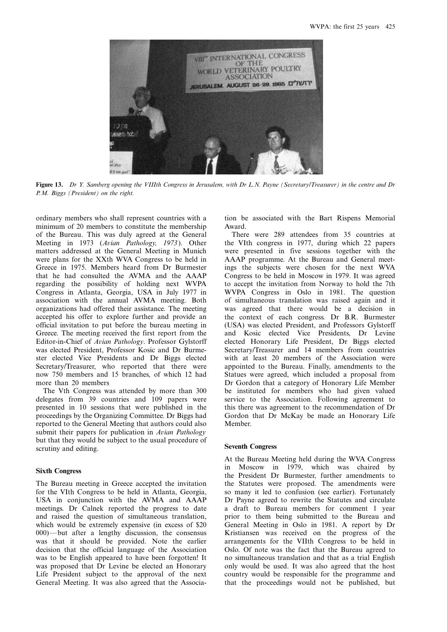

Figure 13. Dr Y. Samberg opening the VIIIth Congress in Jerusalem, with Dr L.N. Payne (Secretary/Treasurer) in the centre and Dr P.M. Biggs (President) on the right.

ordinary members who shall represent countries with a minimum of 20 members to constitute the membership of the Bureau. This was duly agreed at the General Meeting in 1973 (Avian Pathology, 1973). Other matters addressed at the General Meeting in Munich were plans for the XXth WVA Congress to be held in Greece in 1975. Members heard from Dr Burmester that he had consulted the AVMA and the AAAP regarding the possibility of holding next WVPA Congress in Atlanta, Georgia, USA in July 1977 in association with the annual AVMA meeting. Both organizations had offered their assistance. The meeting accepted his offer to explore further and provide an official invitation to put before the bureau meeting in Greece. The meeting received the first report from the Editor-in-Chief of Avian Pathology. Professor Gylstorff was elected President, Professor Kosic and Dr Burmester elected Vice Presidents and Dr Biggs elected Secretary/Treasurer, who reported that there were now 750 members and 15 branches, of which 12 had more than 20 members

The Vth Congress was attended by more than 300 delegates from 39 countries and 109 papers were presented in 10 sessions that were published in the proceedings by the Organizing Committee. Dr Biggs had reported to the General Meeting that authors could also submit their papers for publication in Avian Pathology but that they would be subject to the usual procedure of scrutiny and editing.

#### Sixth Congress

The Bureau meeting in Greece accepted the invitation for the VIth Congress to be held in Atlanta, Georgia, USA in conjunction with the AVMA and AAAP meetings. Dr Calnek reported the progress to date and raised the question of simultaneous translation, which would be extremely expensive (in excess of \$20  $000$ )—but after a lengthy discussion, the consensus was that it should be provided. Note the earlier decision that the official language of the Association was to be English appeared to have been forgotten! It was proposed that Dr Levine be elected an Honorary Life President subject to the approval of the next General Meeting. It was also agreed that the Association be associated with the Bart Rispens Memorial Award.

There were 289 attendees from 35 countries at the VIth congress in 1977, during which 22 papers were presented in five sessions together with the AAAP programme. At the Bureau and General meetings the subjects were chosen for the next WVA Congress to be held in Moscow in 1979. It was agreed to accept the invitation from Norway to hold the 7th WVPA Congress in Oslo in 1981. The question of simultaneous translation was raised again and it was agreed that there would be a decision in the context of each congress. Dr B.R. Burmester (USA) was elected President, and Professors Gylstorff and Kosic elected Vice Presidents, Dr Levine elected Honorary Life President, Dr Biggs elected Secretary/Treasurer and 14 members from countries with at least 20 members of the Association were appointed to the Bureau. Finally, amendments to the Statues were agreed, which included a proposal from Dr Gordon that a category of Honorary Life Member be instituted for members who had given valued service to the Association. Following agreement to this there was agreement to the recommendation of Dr Gordon that Dr McKay be made an Honorary Life Member.

#### Seventh Congress

At the Bureau Meeting held during the WVA Congress in Moscow in 1979, which was chaired by the President Dr Burmester, further amendments to the Statutes were proposed. The amendments were so many it led to confusion (see earlier). Fortunately Dr Payne agreed to rewrite the Statutes and circulate a draft to Bureau members for comment 1 year prior to them being submitted to the Bureau and General Meeting in Oslo in 1981. A report by Dr Kristiansen was received on the progress of the arrangements for the VIIth Congress to be held in Oslo. Of note was the fact that the Bureau agreed to no simultaneous translation and that as a trial English only would be used. It was also agreed that the host country would be responsible for the programme and that the proceedings would not be published, but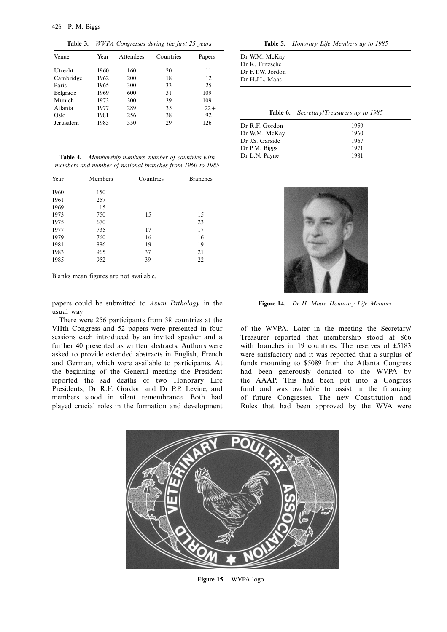Table 3. WVPA Congresses during the first 25 years

| Venue     | Year | Attendees | Countries | Papers |
|-----------|------|-----------|-----------|--------|
| Utrecht   | 1960 | 160       | 20        | 11     |
| Cambridge | 1962 | 200       | 18        | 12     |
| Paris     | 1965 | 300       | 33        | 25     |
| Belgrade  | 1969 | 600       | 31        | 109    |
| Munich    | 1973 | 300       | 39        | 109    |
| Atlanta   | 1977 | 289       | 35        | $22 +$ |
| Oslo      | 1981 | 256       | 38        | 92     |
| Jerusalem | 1985 | 350       | 29        | 126    |

Table 4. Membership numbers, number of countries with members and number of national branches from 1960 to 1985

| Year | Members | Countries | <b>Branches</b> |
|------|---------|-----------|-----------------|
| 1960 | 150     |           |                 |
| 1961 | 257     |           |                 |
| 1969 | 15      |           |                 |
| 1973 | 750     | $15+$     | 15              |
| 1975 | 670     |           | 23              |
| 1977 | 735     | $17+$     | 17              |
| 1979 | 760     | $16+$     | 16              |
| 1981 | 886     | $19+$     | 19              |
| 1983 | 965     | 37        | 21              |
| 1985 | 952     | 39        | 22              |

Blanks mean figures are not available.

papers could be submitted to Avian Pathology in the usual way.

There were 256 participants from 38 countries at the VIIth Congress and 52 papers were presented in four sessions each introduced by an invited speaker and a further 40 presented as written abstracts. Authors were asked to provide extended abstracts in English, French and German, which were available to participants. At the beginning of the General meeting the President reported the sad deaths of two Honorary Life Presidents, Dr R.F. Gordon and Dr P.P. Levine, and members stood in silent remembrance. Both had played crucial roles in the formation and development

Table 5. Honorary Life Members up to 1985

| Dr W.M. McKay    |  |
|------------------|--|
| Dr K. Fritzsche  |  |
| Dr F.T.W. Jordon |  |
| Dr H.J.L. Maas   |  |
|                  |  |
|                  |  |

|                 | <b>Table 6.</b> Secretary/Treasurers up to 1985 |  |
|-----------------|-------------------------------------------------|--|
| Dr R.F. Gordon  | 1959                                            |  |
| Dr W.M. McKay   | 1960                                            |  |
| Dr J.S. Garside | 1967                                            |  |
| Dr P.M. Biggs   | 1971                                            |  |
| Dr L.N. Payne   | 1981                                            |  |
|                 |                                                 |  |



Figure 14. Dr H. Maas, Honorary Life Member.

of the WVPA. Later in the meeting the Secretary/ Treasurer reported that membership stood at 866 with branches in 19 countries. The reserves of £5183 were satisfactory and it was reported that a surplus of funds mounting to \$5089 from the Atlanta Congress had been generously donated to the WVPA by the AAAP. This had been put into a Congress fund and was available to assist in the financing of future Congresses. The new Constitution and Rules that had been approved by the WVA were



Figure 15. WVPA logo.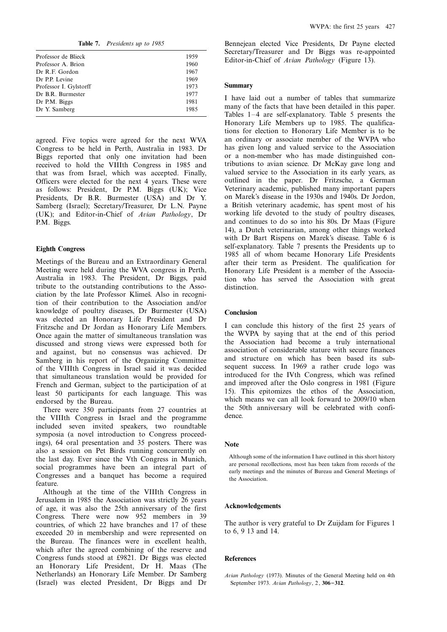Table 7. Presidents up to 1985

| Professor de Blieck    | 1959 |
|------------------------|------|
| Professor A. Brion     | 1960 |
| Dr R.F. Gordon         | 1967 |
| Dr PP. Levine          | 1969 |
| Professor I. Gylstorff | 1973 |
| Dr B.R. Burmester      | 1977 |
| Dr P.M. Biggs          | 1981 |
| Dr Y. Samberg          | 1985 |
|                        |      |

agreed. Five topics were agreed for the next WVA Congress to be held in Perth, Australia in 1983. Dr Biggs reported that only one invitation had been received to hold the VIIIth Congress in 1985 and that was from Israel, which was accepted. Finally, Officers were elected for the next 4 years. These were as follows: President, Dr P.M. Biggs (UK); Vice Presidents, Dr B.R. Burmester (USA) and Dr Y. Samberg (Israel); Secretary/Treasurer, Dr L.N. Payne (UK); and Editor-in-Chief of Avian Pathology, Dr P.M. Biggs.

#### Eighth Congress

Meetings of the Bureau and an Extraordinary General Meeting were held during the WVA congress in Perth, Australia in 1983. The President, Dr Biggs, paid tribute to the outstanding contributions to the Association by the late Professor Klimeš. Also in recognition of their contribution to the Association and/or knowledge of poultry diseases, Dr Burmester (USA) was elected an Honorary Life President and Dr Fritzsche and Dr Jordan as Honorary Life Members. Once again the matter of simultaneous translation was discussed and strong views were expressed both for and against, but no consensus was achieved. Dr Samberg in his report of the Organizing Committee of the VIIIth Congress in Israel said it was decided that simultaneous translation would be provided for French and German, subject to the participation of at least 50 participants for each language. This was endorsed by the Bureau.

There were 350 participants from 27 countries at the VIIIth Congress in Israel and the programme included seven invited speakers, two roundtable symposia (a novel introduction to Congress proceedings), 64 oral presentation and 35 posters. There was also a session on Pet Birds running concurrently on the last day. Ever since the Vth Congress in Munich, social programmes have been an integral part of Congresses and a banquet has become a required feature.

Although at the time of the VIIIth Congress in Jerusalem in 1985 the Association was strictly 26 years of age, it was also the 25th anniversary of the first Congress. There were now 952 members in 39 countries, of which 22 have branches and 17 of these exceeded 20 in membership and were represented on the Bureau. The finances were in excellent health, which after the agreed combining of the reserve and Congress funds stood at £9821. Dr Biggs was elected an Honorary Life President, Dr H. Maas (The Netherlands) an Honorary Life Member. Dr Samberg (Israel) was elected President, Dr Biggs and Dr

Bennejean elected Vice Presidents, Dr Payne elected Secretary/Treasurer and Dr Biggs was re-appointed Editor-in-Chief of Avian Pathology (Figure 13).

#### Summary

I have laid out a number of tables that summarize many of the facts that have been detailed in this paper. Tables 1-4 are self-explanatory. Table 5 presents the Honorary Life Members up to 1985. The qualifications for election to Honorary Life Member is to be an ordinary or associate member of the WVPA who has given long and valued service to the Association or a non-member who has made distinguished contributions to avian science. Dr McKay gave long and valued service to the Association in its early years, as outlined in the paper. Dr Fritzsche, a German Veterinary academic, published many important papers on Marek's disease in the 1930s and 1940s. Dr Jordon, a British veterinary academic, has spent most of his working life devoted to the study of poultry diseases, and continues to do so into his 80s. Dr Maas (Figure 14), a Dutch veterinarian, among other things worked with Dr Bart Rispens on Marek's disease. Table 6 is self-explanatory. Table 7 presents the Presidents up to 1985 all of whom became Honorary Life Presidents after their term as President. The qualification for Honorary Life President is a member of the Association who has served the Association with great distinction.

#### Conclusion

I can conclude this history of the first 25 years of the WVPA by saying that at the end of this period the Association had become a truly international association of considerable stature with secure finances and structure on which has been based its subsequent success. In 1969 a rather crude logo was introduced for the IVth Congress, which was refined and improved after the Oslo congress in 1981 (Figure 15). This epitomizes the ethos of the Association, which means we can all look forward to 2009/10 when the 50th anniversary will be celebrated with confidence.

#### Note

Although some of the information I have outlined in this short history are personal recollections, most has been taken from records of the early meetings and the minutes of Bureau and General Meetings of the Association.

#### Acknowledgements

The author is very grateful to Dr Zuijdam for Figures 1 to 6, 9 13 and 14.

#### **References**

Avian Pathology (1973). Minutes of the General Meeting held on 4th September 1973. Avian Pathology, 2, 306-312.